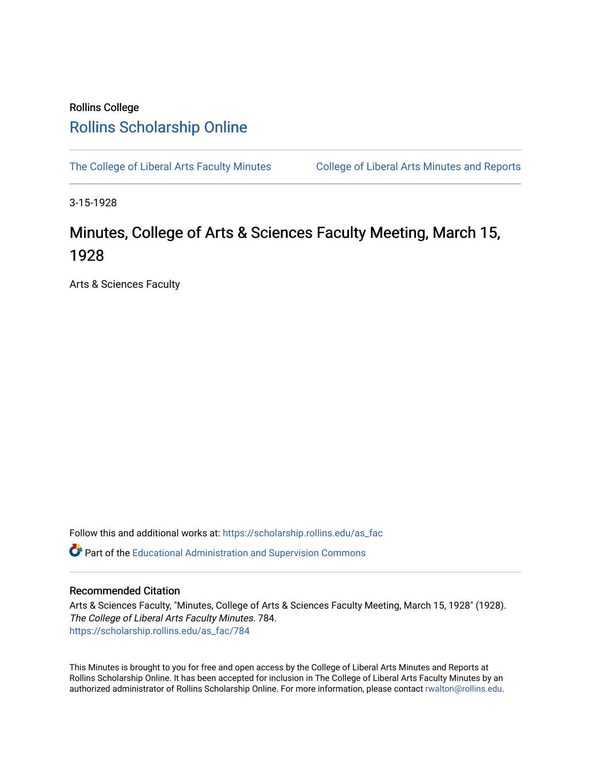## Rollins College [Rollins Scholarship Online](https://scholarship.rollins.edu/)

[The College of Liberal Arts Faculty Minutes](https://scholarship.rollins.edu/as_fac) College of Liberal Arts Minutes and Reports

3-15-1928

## Minutes, College of Arts & Sciences Faculty Meeting, March 15, 1928

Arts & Sciences Faculty

Follow this and additional works at: [https://scholarship.rollins.edu/as\\_fac](https://scholarship.rollins.edu/as_fac?utm_source=scholarship.rollins.edu%2Fas_fac%2F784&utm_medium=PDF&utm_campaign=PDFCoverPages) 

**P** Part of the [Educational Administration and Supervision Commons](http://network.bepress.com/hgg/discipline/787?utm_source=scholarship.rollins.edu%2Fas_fac%2F784&utm_medium=PDF&utm_campaign=PDFCoverPages)

## Recommended Citation

Arts & Sciences Faculty, "Minutes, College of Arts & Sciences Faculty Meeting, March 15, 1928" (1928). The College of Liberal Arts Faculty Minutes. 784. [https://scholarship.rollins.edu/as\\_fac/784](https://scholarship.rollins.edu/as_fac/784?utm_source=scholarship.rollins.edu%2Fas_fac%2F784&utm_medium=PDF&utm_campaign=PDFCoverPages) 

This Minutes is brought to you for free and open access by the College of Liberal Arts Minutes and Reports at Rollins Scholarship Online. It has been accepted for inclusion in The College of Liberal Arts Faculty Minutes by an authorized administrator of Rollins Scholarship Online. For more information, please contact [rwalton@rollins.edu](mailto:rwalton@rollins.edu).